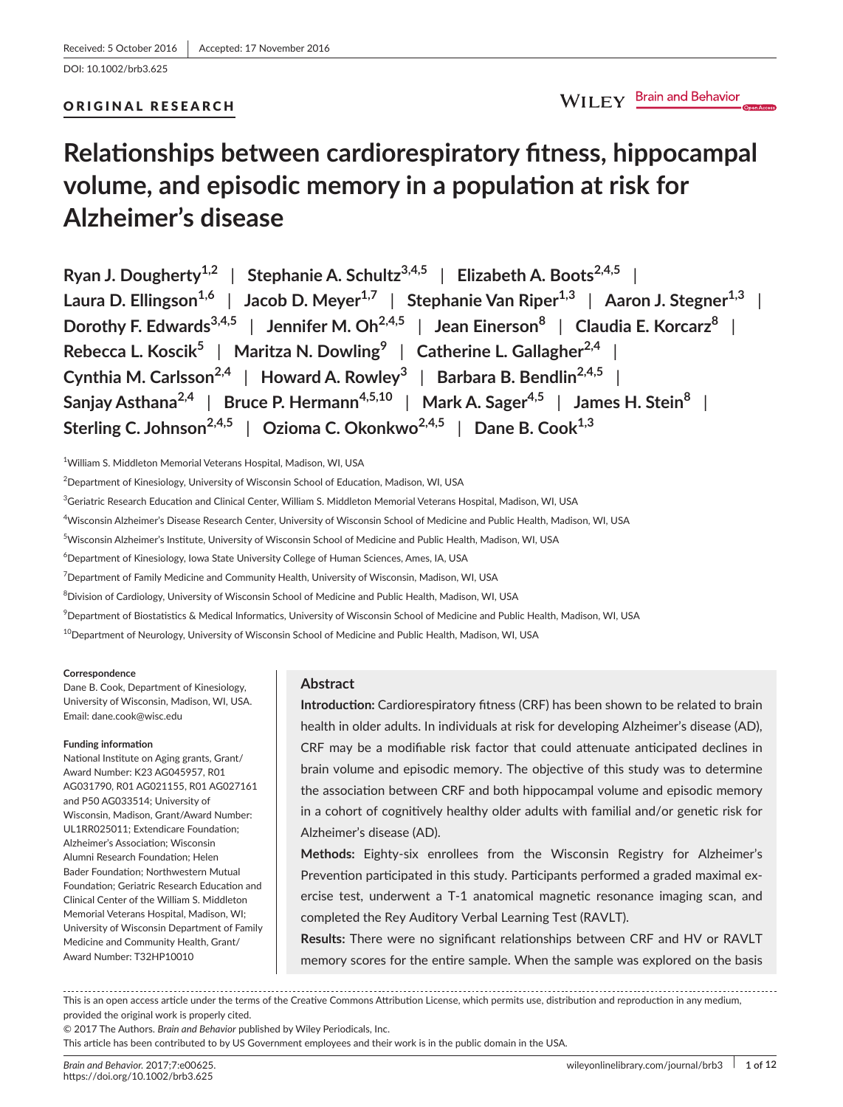DOI: 10.1002/brb3.625

# ORIGINAL RESEARCH

# **Relationships between cardiorespiratory fitness, hippocampal volume, and episodic memory in a population at risk for Alzheimer's disease**

**Ryan J. Dougherty1,2** | **Stephanie A. Schultz3,4,5** | **Elizabeth A. Boots2,4,5** | **Laura D. Ellingson1,6** | **Jacob D. Meyer1,7** | **Stephanie Van Riper1,3** | **Aaron J. Stegner1,3** | **Dorothy F. Edwards3,4,5** | **Jennifer M. Oh2,4,5** | **Jean Einerson<sup>8</sup>** | **Claudia E. Korcarz<sup>8</sup>** | **Rebecca L. Koscik<sup>5</sup>** | **Maritza N. Dowling<sup>9</sup>** | **Catherine L. Gallagher2,4** | **Cynthia M. Carlsson2,4** | **Howard A. Rowley<sup>3</sup>** | **Barbara B. Bendlin2,4,5** | **Sanjay Asthana2,4** | **Bruce P. Hermann4,5,10** | **Mark A. Sager4,5** | **James H. Stein<sup>8</sup>** | **Sterling C. Johnson2,4,5** | **Ozioma C. Okonkwo2,4,5** | **Dane B. Cook1,3**

<sup>1</sup>William S. Middleton Memorial Veterans Hospital, Madison, WI, USA

 $^2$ Department of Kinesiology, University of Wisconsin School of Education, Madison, WI, USA

 $^3$ Geriatric Research Education and Clinical Center, William S. Middleton Memorial Veterans Hospital, Madison, WI, USA

4 Wisconsin Alzheimer's Disease Research Center, University of Wisconsin School of Medicine and Public Health, Madison, WI, USA

<sup>5</sup>Wisconsin Alzheimer's Institute, University of Wisconsin School of Medicine and Public Health, Madison, WI, USA

 $^6$ Department of Kinesiology, Iowa State University College of Human Sciences, Ames, IA, USA

 $^7$ Department of Family Medicine and Community Health, University of Wisconsin, Madison, WI, USA

 $^8$ Division of Cardiology, University of Wisconsin School of Medicine and Public Health, Madison, WI, USA

 $^9$ Department of Biostatistics & Medical Informatics, University of Wisconsin School of Medicine and Public Health, Madison, WI, USA

 $10$ Department of Neurology, University of Wisconsin School of Medicine and Public Health, Madison, WI, USA

#### **Correspondence**

Dane B. Cook, Department of Kinesiology, University of Wisconsin, Madison, WI, USA. Email: [dane.cook@wisc.edu](mailto:dane.cook@wisc.edu)

#### **Funding information**

National Institute on Aging grants, Grant/ Award Number: K23 AG045957, R01 AG031790, R01 AG021155, R01 AG027161 and P50 AG033514; University of Wisconsin, Madison, Grant/Award Number: UL1RR025011; Extendicare Foundation; Alzheimer's Association; Wisconsin Alumni Research Foundation; Helen Bader Foundation; Northwestern Mutual Foundation; Geriatric Research Education and Clinical Center of the William S. Middleton Memorial Veterans Hospital, Madison, WI; University of Wisconsin Department of Family Medicine and Community Health, Grant/ Award Number: T32HP10010

#### **Abstract**

**Introduction:** Cardiorespiratory fitness (CRF) has been shown to be related to brain health in older adults. In individuals at risk for developing Alzheimer's disease (AD), CRF may be a modifiable risk factor that could attenuate anticipated declines in brain volume and episodic memory. The objective of this study was to determine the association between CRF and both hippocampal volume and episodic memory in a cohort of cognitively healthy older adults with familial and/or genetic risk for Alzheimer's disease (AD).

**Methods:** Eighty-six enrollees from the Wisconsin Registry for Alzheimer's Prevention participated in this study. Participants performed a graded maximal exercise test, underwent a T-1 anatomical magnetic resonance imaging scan, and completed the Rey Auditory Verbal Learning Test (RAVLT).

**Results:** There were no significant relationships between CRF and HV or RAVLT memory scores for the entire sample. When the sample was explored on the basis

This is an open access article under the terms of the Creative Commons [Attribution](http://creativecommons.org/licenses/by/4.0/) License, which permits use, distribution and reproduction in any medium, provided the original work is properly cited.

© 2017 The Authors. *Brain and Behavior* published by Wiley Periodicals, Inc.

This article has been contributed to by US Government employees and their work is in the public domain in the USA.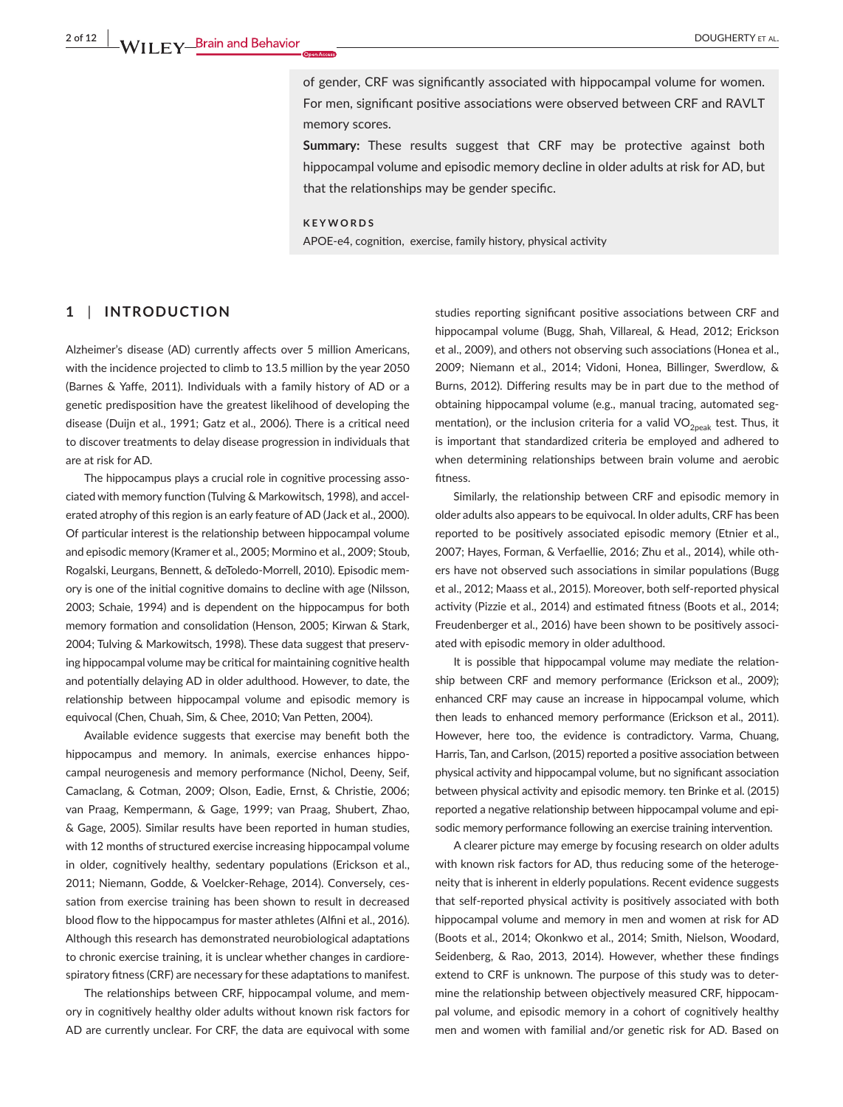of gender, CRF was significantly associated with hippocampal volume for women. For men, significant positive associations were observed between CRF and RAVLT memory scores.

**Summary:** These results suggest that CRF may be protective against both hippocampal volume and episodic memory decline in older adults at risk for AD, but that the relationships may be gender specific.

#### **KEYWORDS**

APOE-e4, cognition, exercise, family history, physical activity

# **1** | **INTRODUCTION**

Alzheimer's disease (AD) currently affects over 5 million Americans, with the incidence projected to climb to 13.5 million by the year 2050 (Barnes & Yaffe, 2011). Individuals with a family history of AD or a genetic predisposition have the greatest likelihood of developing the disease (Duijn et al., 1991; Gatz et al., 2006). There is a critical need to discover treatments to delay disease progression in individuals that are at risk for AD.

The hippocampus plays a crucial role in cognitive processing associated with memory function (Tulving & Markowitsch, 1998), and accelerated atrophy of this region is an early feature of AD (Jack et al., 2000). Of particular interest is the relationship between hippocampal volume and episodic memory (Kramer et al., 2005; Mormino et al., 2009; Stoub, Rogalski, Leurgans, Bennett, & deToledo-Morrell, 2010). Episodic memory is one of the initial cognitive domains to decline with age (Nilsson, 2003; Schaie, 1994) and is dependent on the hippocampus for both memory formation and consolidation (Henson, 2005; Kirwan & Stark, 2004; Tulving & Markowitsch, 1998). These data suggest that preserving hippocampal volume may be critical for maintaining cognitive health and potentially delaying AD in older adulthood. However, to date, the relationship between hippocampal volume and episodic memory is equivocal (Chen, Chuah, Sim, & Chee, 2010; Van Petten, 2004).

Available evidence suggests that exercise may benefit both the hippocampus and memory. In animals, exercise enhances hippocampal neurogenesis and memory performance (Nichol, Deeny, Seif, Camaclang, & Cotman, 2009; Olson, Eadie, Ernst, & Christie, 2006; van Praag, Kempermann, & Gage, 1999; van Praag, Shubert, Zhao, & Gage, 2005). Similar results have been reported in human studies, with 12 months of structured exercise increasing hippocampal volume in older, cognitively healthy, sedentary populations (Erickson et al., 2011; Niemann, Godde, & Voelcker-Rehage, 2014). Conversely, cessation from exercise training has been shown to result in decreased blood flow to the hippocampus for master athletes (Alfini et al., 2016). Although this research has demonstrated neurobiological adaptations to chronic exercise training, it is unclear whether changes in cardiorespiratory fitness (CRF) are necessary for these adaptations to manifest.

The relationships between CRF, hippocampal volume, and memory in cognitively healthy older adults without known risk factors for AD are currently unclear. For CRF, the data are equivocal with some

studies reporting significant positive associations between CRF and hippocampal volume (Bugg, Shah, Villareal, & Head, 2012; Erickson et al., 2009), and others not observing such associations (Honea et al., 2009; Niemann et al., 2014; Vidoni, Honea, Billinger, Swerdlow, & Burns, 2012). Differing results may be in part due to the method of obtaining hippocampal volume (e.g., manual tracing, automated segmentation), or the inclusion criteria for a valid  $VO_{2\text{peak}}$  test. Thus, it is important that standardized criteria be employed and adhered to when determining relationships between brain volume and aerobic fitness.

Similarly, the relationship between CRF and episodic memory in older adults also appears to be equivocal. In older adults, CRF has been reported to be positively associated episodic memory (Etnier et al., 2007; Hayes, Forman, & Verfaellie, 2016; Zhu et al., 2014), while others have not observed such associations in similar populations (Bugg et al., 2012; Maass et al., 2015). Moreover, both self-reported physical activity (Pizzie et al., 2014) and estimated fitness (Boots et al., 2014; Freudenberger et al., 2016) have been shown to be positively associated with episodic memory in older adulthood.

It is possible that hippocampal volume may mediate the relationship between CRF and memory performance (Erickson et al., 2009); enhanced CRF may cause an increase in hippocampal volume, which then leads to enhanced memory performance (Erickson et al., 2011). However, here too, the evidence is contradictory. Varma, Chuang, Harris, Tan, and Carlson, (2015) reported a positive association between physical activity and hippocampal volume, but no significant association between physical activity and episodic memory. ten Brinke et al. (2015) reported a negative relationship between hippocampal volume and episodic memory performance following an exercise training intervention.

A clearer picture may emerge by focusing research on older adults with known risk factors for AD, thus reducing some of the heterogeneity that is inherent in elderly populations. Recent evidence suggests that self-reported physical activity is positively associated with both hippocampal volume and memory in men and women at risk for AD (Boots et al., 2014; Okonkwo et al., 2014; Smith, Nielson, Woodard, Seidenberg, & Rao, 2013, 2014). However, whether these findings extend to CRF is unknown. The purpose of this study was to determine the relationship between objectively measured CRF, hippocampal volume, and episodic memory in a cohort of cognitively healthy men and women with familial and/or genetic risk for AD. Based on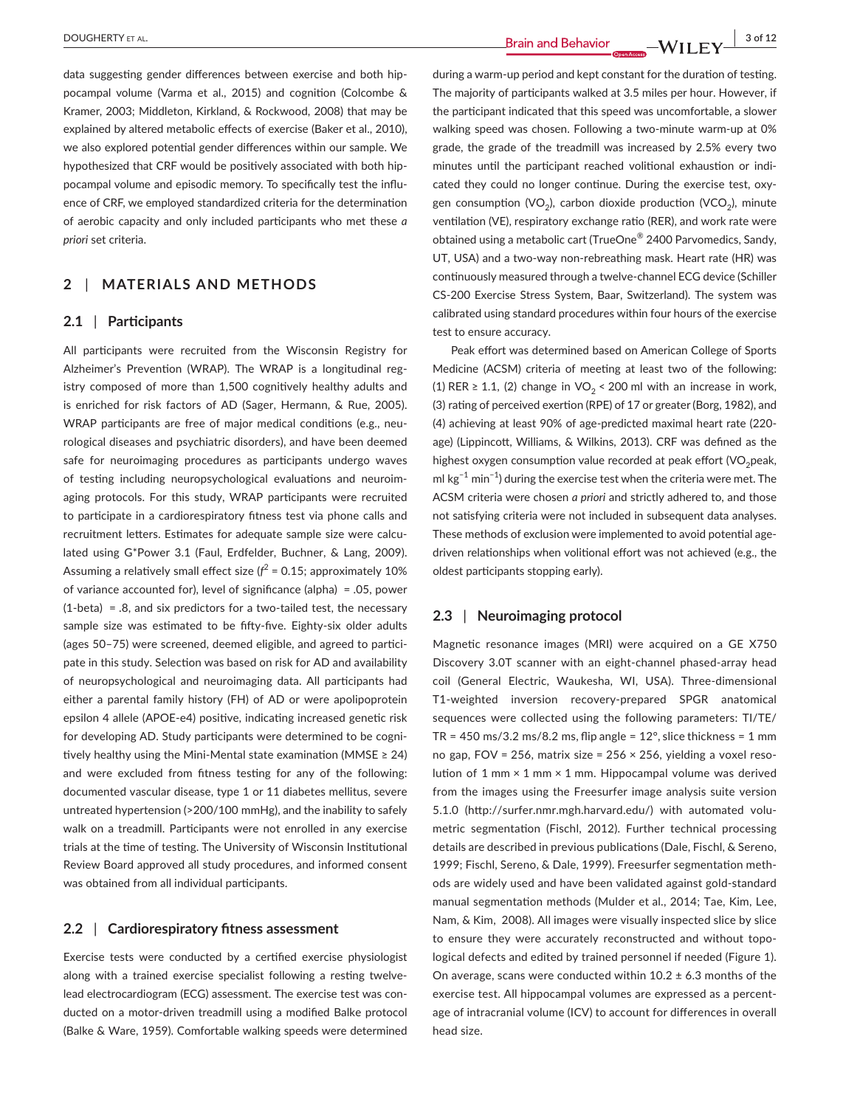data suggesting gender differences between exercise and both hippocampal volume (Varma et al., 2015) and cognition (Colcombe & Kramer, 2003; Middleton, Kirkland, & Rockwood, 2008) that may be explained by altered metabolic effects of exercise (Baker et al., 2010), we also explored potential gender differences within our sample. We hypothesized that CRF would be positively associated with both hippocampal volume and episodic memory. To specifically test the influence of CRF, we employed standardized criteria for the determination of aerobic capacity and only included participants who met these *a priori* set criteria.

# **2** | **MATERIALS AND METHODS**

#### **2.1** | **Participants**

All participants were recruited from the Wisconsin Registry for Alzheimer's Prevention (WRAP). The WRAP is a longitudinal registry composed of more than 1,500 cognitively healthy adults and is enriched for risk factors of AD (Sager, Hermann, & Rue, 2005). WRAP participants are free of major medical conditions (e.g., neurological diseases and psychiatric disorders), and have been deemed safe for neuroimaging procedures as participants undergo waves of testing including neuropsychological evaluations and neuroimaging protocols. For this study, WRAP participants were recruited to participate in a cardiorespiratory fitness test via phone calls and recruitment letters. Estimates for adequate sample size were calculated using G\*Power 3.1 (Faul, Erdfelder, Buchner, & Lang, 2009). Assuming a relatively small effect size (*f* <sup>2</sup> = 0.15; approximately 10% of variance accounted for), level of significance (alpha) = .05, power  $(1-beta) = .8$ , and six predictors for a two-tailed test, the necessary sample size was estimated to be fifty-five. Eighty-six older adults (ages 50–75) were screened, deemed eligible, and agreed to participate in this study. Selection was based on risk for AD and availability of neuropsychological and neuroimaging data. All participants had either a parental family history (FH) of AD or were apolipoprotein epsilon 4 allele (APOE-e4) positive, indicating increased genetic risk for developing AD. Study participants were determined to be cognitively healthy using the Mini-Mental state examination (MMSE  $\geq$  24) and were excluded from fitness testing for any of the following: documented vascular disease, type 1 or 11 diabetes mellitus, severe untreated hypertension (>200/100 mmHg), and the inability to safely walk on a treadmill. Participants were not enrolled in any exercise trials at the time of testing. The University of Wisconsin Institutional Review Board approved all study procedures, and informed consent was obtained from all individual participants.

#### **2.2** | **Cardiorespiratory fitness assessment**

Exercise tests were conducted by a certified exercise physiologist along with a trained exercise specialist following a resting twelvelead electrocardiogram (ECG) assessment. The exercise test was conducted on a motor-driven treadmill using a modified Balke protocol (Balke & Ware, 1959). Comfortable walking speeds were determined during a warm-up period and kept constant for the duration of testing. The majority of participants walked at 3.5 miles per hour. However, if the participant indicated that this speed was uncomfortable, a slower walking speed was chosen. Following a two-minute warm-up at 0% grade, the grade of the treadmill was increased by 2.5% every two minutes until the participant reached volitional exhaustion or indicated they could no longer continue. During the exercise test, oxygen consumption (VO<sub>2</sub>), carbon dioxide production (VCO<sub>2</sub>), minute ventilation (VE), respiratory exchange ratio (RER), and work rate were obtained using a metabolic cart (TrueOne® 2400 Parvomedics, Sandy, UT, USA) and a two-way non-rebreathing mask. Heart rate (HR) was continuously measured through a twelve-channel ECG device (Schiller CS-200 Exercise Stress System, Baar, Switzerland). The system was calibrated using standard procedures within four hours of the exercise test to ensure accuracy.

Peak effort was determined based on American College of Sports Medicine (ACSM) criteria of meeting at least two of the following: (1) RER  $\geq$  1.1, (2) change in VO<sub>2</sub> < 200 ml with an increase in work, (3) rating of perceived exertion (RPE) of 17 or greater (Borg, 1982), and (4) achieving at least 90% of age-predicted maximal heart rate (220 age) (Lippincott, Williams, & Wilkins, 2013). CRF was defined as the highest oxygen consumption value recorded at peak effort  $(VO<sub>2</sub>)$ peak, ml kg<sup>-1</sup> min<sup>-1</sup>) during the exercise test when the criteria were met. The ACSM criteria were chosen *a priori* and strictly adhered to, and those not satisfying criteria were not included in subsequent data analyses. These methods of exclusion were implemented to avoid potential agedriven relationships when volitional effort was not achieved (e.g., the oldest participants stopping early).

#### **2.3** | **Neuroimaging protocol**

Magnetic resonance images (MRI) were acquired on a GE X750 Discovery 3.0T scanner with an eight-channel phased-array head coil (General Electric, Waukesha, WI, USA). Three-dimensional T1-weighted inversion recovery-prepared SPGR anatomical sequences were collected using the following parameters: TI/TE/ TR =  $450 \text{ ms}/3.2 \text{ ms}/8.2 \text{ ms}$ , flip angle =  $12^{\circ}$ , slice thickness = 1 mm no gap, FOV = 256, matrix size =  $256 \times 256$ , yielding a voxel resolution of 1 mm  $\times$  1 mm  $\times$  1 mm. Hippocampal volume was derived from the images using the Freesurfer image analysis suite version 5.1.0 ([http://surfer.nmr.mgh.harvard.edu/\)](http://surfer.nmr.mgh.harvard.edu/) with automated volumetric segmentation (Fischl, 2012). Further technical processing details are described in previous publications (Dale, Fischl, & Sereno, 1999; Fischl, Sereno, & Dale, 1999). Freesurfer segmentation methods are widely used and have been validated against gold-standard manual segmentation methods (Mulder et al., 2014; Tae, Kim, Lee, Nam, & Kim, 2008). All images were visually inspected slice by slice to ensure they were accurately reconstructed and without topological defects and edited by trained personnel if needed (Figure 1). On average, scans were conducted within  $10.2 \pm 6.3$  months of the exercise test. All hippocampal volumes are expressed as a percentage of intracranial volume (ICV) to account for differences in overall head size.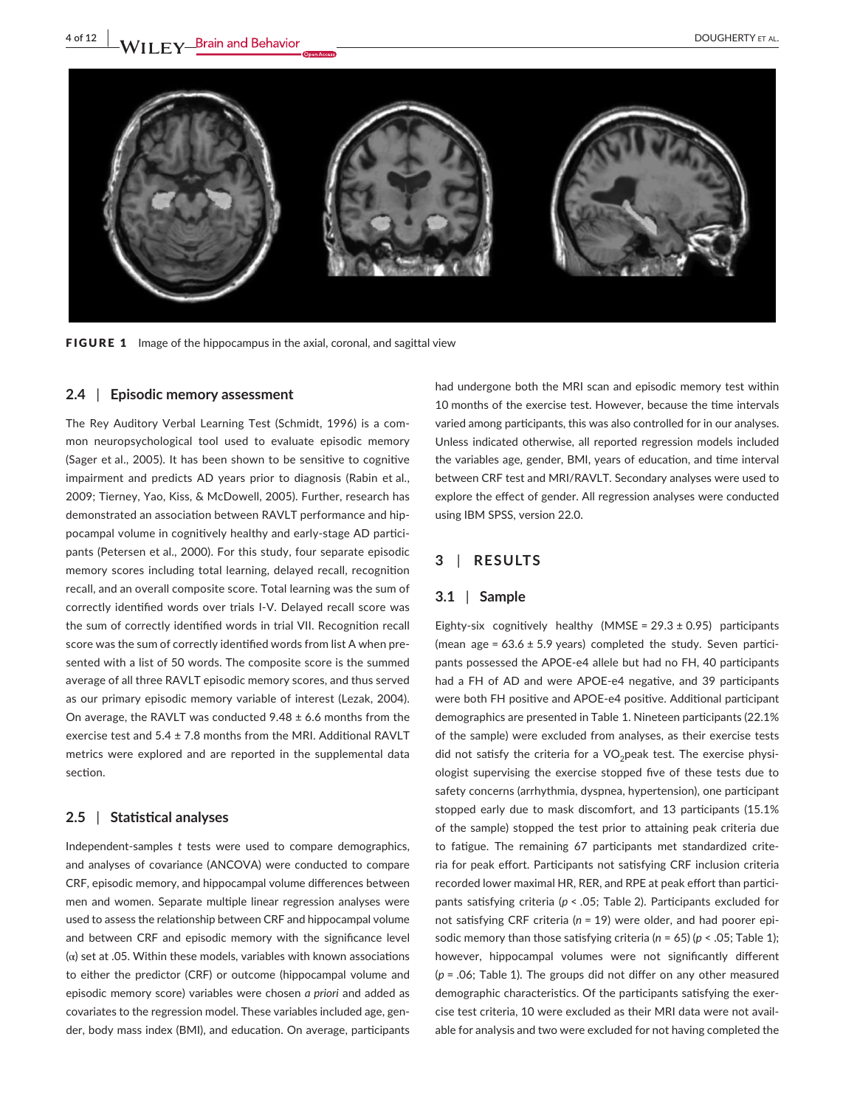

FIGURE 1 Image of the hippocampus in the axial, coronal, and sagittal view

#### **2.4** | **Episodic memory assessment**

The Rey Auditory Verbal Learning Test (Schmidt, 1996) is a common neuropsychological tool used to evaluate episodic memory (Sager et al., 2005). It has been shown to be sensitive to cognitive impairment and predicts AD years prior to diagnosis (Rabin et al., 2009; Tierney, Yao, Kiss, & McDowell, 2005). Further, research has demonstrated an association between RAVLT performance and hippocampal volume in cognitively healthy and early-stage AD participants (Petersen et al., 2000). For this study, four separate episodic memory scores including total learning, delayed recall, recognition recall, and an overall composite score. Total learning was the sum of correctly identified words over trials I-V. Delayed recall score was the sum of correctly identified words in trial VII. Recognition recall score was the sum of correctly identified words from list A when presented with a list of 50 words. The composite score is the summed average of all three RAVLT episodic memory scores, and thus served as our primary episodic memory variable of interest (Lezak, 2004). On average, the RAVLT was conducted  $9.48 \pm 6.6$  months from the exercise test and 5.4 ± 7.8 months from the MRI. Additional RAVLT metrics were explored and are reported in the supplemental data section.

## **2.5** | **Statistical analyses**

Independent-samples *t* tests were used to compare demographics, and analyses of covariance (ANCOVA) were conducted to compare CRF, episodic memory, and hippocampal volume differences between men and women. Separate multiple linear regression analyses were used to assess the relationship between CRF and hippocampal volume and between CRF and episodic memory with the significance level  $(α)$  set at .05. Within these models, variables with known associations to either the predictor (CRF) or outcome (hippocampal volume and episodic memory score) variables were chosen *a priori* and added as covariates to the regression model. These variables included age, gender, body mass index (BMI), and education. On average, participants had undergone both the MRI scan and episodic memory test within 10 months of the exercise test. However, because the time intervals varied among participants, this was also controlled for in our analyses. Unless indicated otherwise, all reported regression models included the variables age, gender, BMI, years of education, and time interval between CRF test and MRI/RAVLT. Secondary analyses were used to explore the effect of gender. All regression analyses were conducted using IBM SPSS, version 22.0.

# **3** | **RESULTS**

## **3.1** | **Sample**

Eighty-six cognitively healthy (MMSE =  $29.3 \pm 0.95$ ) participants (mean age =  $63.6 \pm 5.9$  years) completed the study. Seven participants possessed the APOE-e4 allele but had no FH, 40 participants had a FH of AD and were APOE-e4 negative, and 39 participants were both FH positive and APOE-e4 positive. Additional participant demographics are presented in Table 1. Nineteen participants (22.1% of the sample) were excluded from analyses, as their exercise tests did not satisfy the criteria for a  $VO<sub>2</sub>$  peak test. The exercise physiologist supervising the exercise stopped five of these tests due to safety concerns (arrhythmia, dyspnea, hypertension), one participant stopped early due to mask discomfort, and 13 participants (15.1% of the sample) stopped the test prior to attaining peak criteria due to fatigue. The remaining 67 participants met standardized criteria for peak effort. Participants not satisfying CRF inclusion criteria recorded lower maximal HR, RER, and RPE at peak effort than participants satisfying criteria (*p* < .05; Table 2). Participants excluded for not satisfying CRF criteria (*n* = 19) were older, and had poorer episodic memory than those satisfying criteria (*n* = 65) (*p* < .05; Table 1); however, hippocampal volumes were not significantly different (*p* = .06; Table 1). The groups did not differ on any other measured demographic characteristics. Of the participants satisfying the exercise test criteria, 10 were excluded as their MRI data were not available for analysis and two were excluded for not having completed the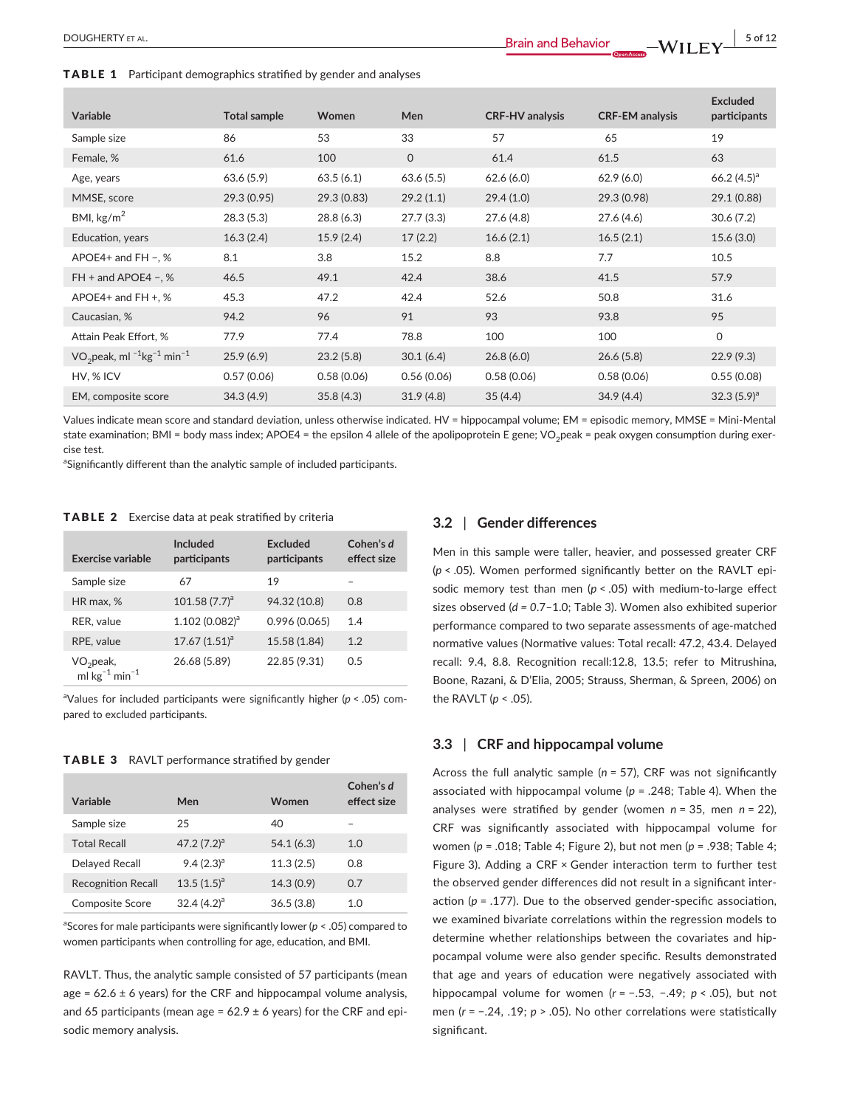TABLE 1 Participant demographics stratified by gender and analyses

| <b>Variable</b>                                               | <b>Total sample</b> | <b>Women</b> | Men         | <b>CRF-HV</b> analysis | <b>CRF-EM analysis</b> | <b>Excluded</b><br>participants |
|---------------------------------------------------------------|---------------------|--------------|-------------|------------------------|------------------------|---------------------------------|
| Sample size                                                   | 86                  | 53           | 33          | 57                     | 65                     | 19                              |
| Female, %                                                     | 61.6                | 100          | $\mathbf 0$ | 61.4                   | 61.5                   | 63                              |
| Age, years                                                    | 63.6(5.9)           | 63.5(6.1)    | 63.6(5.5)   | 62.6(6.0)              | 62.9(6.0)              | 66.2 $(4.5)^a$                  |
| MMSE, score                                                   | 29.3(0.95)          | 29.3 (0.83)  | 29.2(1.1)   | 29.4(1.0)              | 29.3 (0.98)            | 29.1 (0.88)                     |
| BMI, $\text{kg/m}^2$                                          | 28.3(5.3)           | 28.8(6.3)    | 27.7(3.3)   | 27.6(4.8)              | 27.6(4.6)              | 30.6(7.2)                       |
| Education, years                                              | 16.3(2.4)           | 15.9(2.4)    | 17(2.2)     | 16.6(2.1)              | 16.5(2.1)              | 15.6(3.0)                       |
| APOE4+ and $FH - 0.$ %                                        | 8.1                 | 3.8          | 15.2        | 8.8                    | 7.7                    | 10.5                            |
| FH + and APOE4 -, $%$                                         | 46.5                | 49.1         | 42.4        | 38.6                   | 41.5                   | 57.9                            |
| APOE4+ and FH $+$ , %                                         | 45.3                | 47.2         | 42.4        | 52.6                   | 50.8                   | 31.6                            |
| Caucasian, %                                                  | 94.2                | 96           | 91          | 93                     | 93.8                   | 95                              |
| Attain Peak Effort, %                                         | 77.9                | 77.4         | 78.8        | 100                    | 100                    | $\Omega$                        |
| VO <sub>2</sub> peak, ml $^{-1}$ kg $^{-1}$ min <sup>-1</sup> | 25.9(6.9)           | 23.2(5.8)    | 30.1(6.4)   | 26.8(6.0)              | 26.6(5.8)              | 22.9(9.3)                       |
| HV, % ICV                                                     | 0.57(0.06)          | 0.58(0.06)   | 0.56(0.06)  | 0.58(0.06)             | 0.58(0.06)             | 0.55(0.08)                      |
| EM, composite score                                           | 34.3(4.9)           | 35.8(4.3)    | 31.9(4.8)   | 35(4.4)                | 34.9(4.4)              | $32.3(5.9)^a$                   |

Values indicate mean score and standard deviation, unless otherwise indicated. HV = hippocampal volume; EM = episodic memory, MMSE = Mini-Mental state examination; BMI = body mass index; APOE4 = the epsilon 4 allele of the apolipoprotein E gene; VO<sub>2</sub>peak = peak oxygen consumption during exercise test.

<sup>a</sup>Significantly different than the analytic sample of included participants.

#### TABLE 2 Exercise data at peak stratified by criteria

| <b>Exercise variable</b>                                         | Included<br>participants | Excluded<br>participants | Cohen's $d$<br>effect size |
|------------------------------------------------------------------|--------------------------|--------------------------|----------------------------|
| Sample size                                                      | 67                       | 19                       |                            |
| HR max, %                                                        | $101.58(7.7)^a$          | 94.32 (10.8)             | 0.8                        |
| RER, value                                                       | $1.102(0.082)^a$         | 0.996(0.065)             | 1.4                        |
| RPE, value                                                       | $17.67(1.51)^a$          | 15.58 (1.84)             | 1.2                        |
| VO <sub>2</sub> peak,<br>$ml$ kg <sup>-1</sup> min <sup>-1</sup> | 26.68 (5.89)             | 22.85 (9.31)             | 0.5                        |

a Values for included participants were significantly higher (*p* < .05) compared to excluded participants.

#### TABLE 3 RAVLT performance stratified by gender

| Variable                  | Men            | Women     | Cohen's $d$<br>effect size |
|---------------------------|----------------|-----------|----------------------------|
| Sample size               | 25             | 40        |                            |
| <b>Total Recall</b>       | 47.2 $(7.2)^a$ | 54.1(6.3) | 1.0                        |
| Delayed Recall            | $9.4(2.3)^a$   | 11.3(2.5) | 0.8                        |
| <b>Recognition Recall</b> | $13.5(1.5)^a$  | 14.3(0.9) | 0.7                        |
| <b>Composite Score</b>    | $32.4(4.2)^a$  | 36.5(3.8) | 1.0                        |

a Scores for male participants were significantly lower (*p* < .05) compared to women participants when controlling for age, education, and BMI.

RAVLT. Thus, the analytic sample consisted of 57 participants (mean age =  $62.6 \pm 6$  years) for the CRF and hippocampal volume analysis, and 65 participants (mean age =  $62.9 \pm 6$  years) for the CRF and episodic memory analysis.

#### **3.2** | **Gender differences**

Men in this sample were taller, heavier, and possessed greater CRF (*p* < .05). Women performed significantly better on the RAVLT episodic memory test than men (*p* < .05) with medium-to-large effect sizes observed (*d = 0*.7–1.0; Table 3). Women also exhibited superior performance compared to two separate assessments of age-matched normative values (Normative values: Total recall: 47.2, 43.4. Delayed recall: 9.4, 8.8. Recognition recall:12.8, 13.5; refer to Mitrushina, Boone, Razani, & D'Elia, 2005; Strauss, Sherman, & Spreen, 2006) on the RAVLT (*p* < .05).

## **3.3** | **CRF and hippocampal volume**

Across the full analytic sample (*n* = 57), CRF was not significantly associated with hippocampal volume (*p* = .248; Table 4). When the analyses were stratified by gender (women *n* = 35, men *n* = 22), CRF was significantly associated with hippocampal volume for women (*p* = .018; Table 4; Figure 2), but not men (*p* = .938; Table 4; Figure 3). Adding a CRF × Gender interaction term to further test the observed gender differences did not result in a significant interaction (*p* = .177). Due to the observed gender-specific association, we examined bivariate correlations within the regression models to determine whether relationships between the covariates and hippocampal volume were also gender specific. Results demonstrated that age and years of education were negatively associated with hippocampal volume for women (*r* = −.53, −.49; *p* < .05), but not men (*r* = −.24, .19; *p* > .05). No other correlations were statistically significant.

 **|** DOUGHERTY et al. **5 of 12**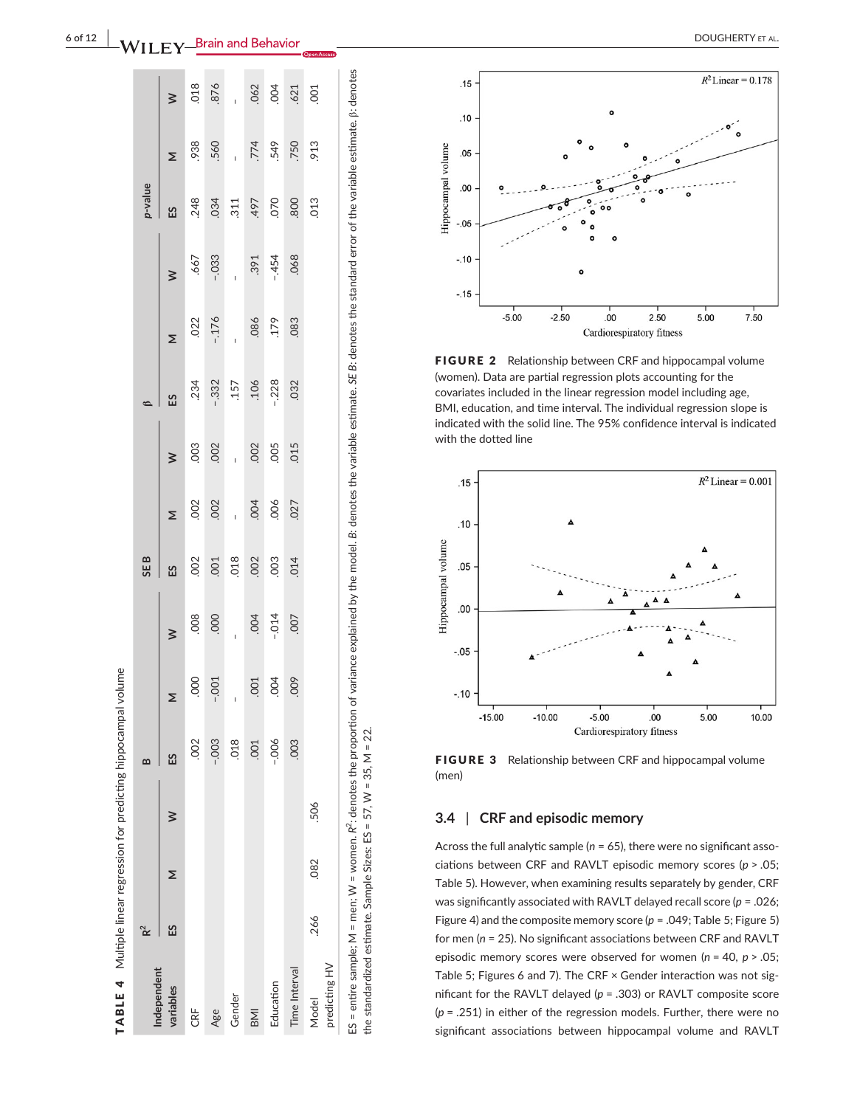| Independent            | R <sup>2</sup> |      |      | B        |          |          | SE <sub>B</sub> |      |      | B      |        |         | p-value |     |                |
|------------------------|----------------|------|------|----------|----------|----------|-----------------|------|------|--------|--------|---------|---------|-----|----------------|
| variables              | 53             | Σ    | ⋧    | ES       | Σ        | ⋧        | ES.             | Σ    | ⋧    | ES     | Σ      | ≷       | 53      | Σ   | ≷              |
| CRF                    |                |      |      | .002     | .000     | .008     | .002            | .002 | 003  | 234    | 022    | .667    | 248     | 938 | 018            |
| Age                    |                |      |      | $-0.003$ | $-0.001$ | 000      | .001            | .002 | 002  | $-332$ | $-176$ | $-0.33$ | 034     | 560 | 876            |
| Gender                 |                |      |      | .018     | I        | Ī        | 018             |      |      | 157    |        |         | 311     |     |                |
| IMB                    |                |      |      | .001     | .001     | .004     | .002            | 004  | .002 | 106    | 086    | .391    | .497    | 774 | .062           |
| Education              |                |      |      | $-006$   | .004     | $-0.014$ | 003             | 006  | .005 | $-228$ | 179    | $-454$  | 070     | 549 | 604            |
| Time Interval          |                |      |      | .003     | ,009     | 007      | 014             | 027  | 015  | 032    | 083    | .068    | 800     | 750 | 621            |
| predicting HV<br>Model | .266           | .082 | .506 |          |          |          |                 |      |      |        |        |         | 013     | 913 | $\overline{5}$ |



FIGURE 2 Relationship between CRF and hippocampal volume (women). Data are partial regression plots accounting for the covariates included in the linear regression model including age, BMI, education, and time interval. The individual regression slope is indicated with the solid line. The 95% confidence interval is indicated with the dotted line



FIGURE 3 Relationship between CRF and hippocampal volume (men)

#### **3.4**  | **CRF and episodic memory**

Across the full analytic sample (n = 65), there were no significant associations between CRF and RAVLT episodic memory scores ( *p* > .05; Table 5). However, when examining results separately by gender, CRF was significantly associated with RAVLT delayed recall score ( *p* = .026; Figure 4) and the composite memory score ( $p = .049$ ; Table 5; Figure 5) for men ( *n* = 25). No significant associations between CRF and RAVLT episodic memory scores were observed for women ( *n* = 40, *p* > .05; Table 5; Figures 6 and 7). The CRF × Gender interaction was not sig nificant for the RAVLT delayed ( *p* = .303) or RAVLT composite score ( *p* = .251) in either of the regression models. Further, there were no significant associations between hippocampal volume and RAVLT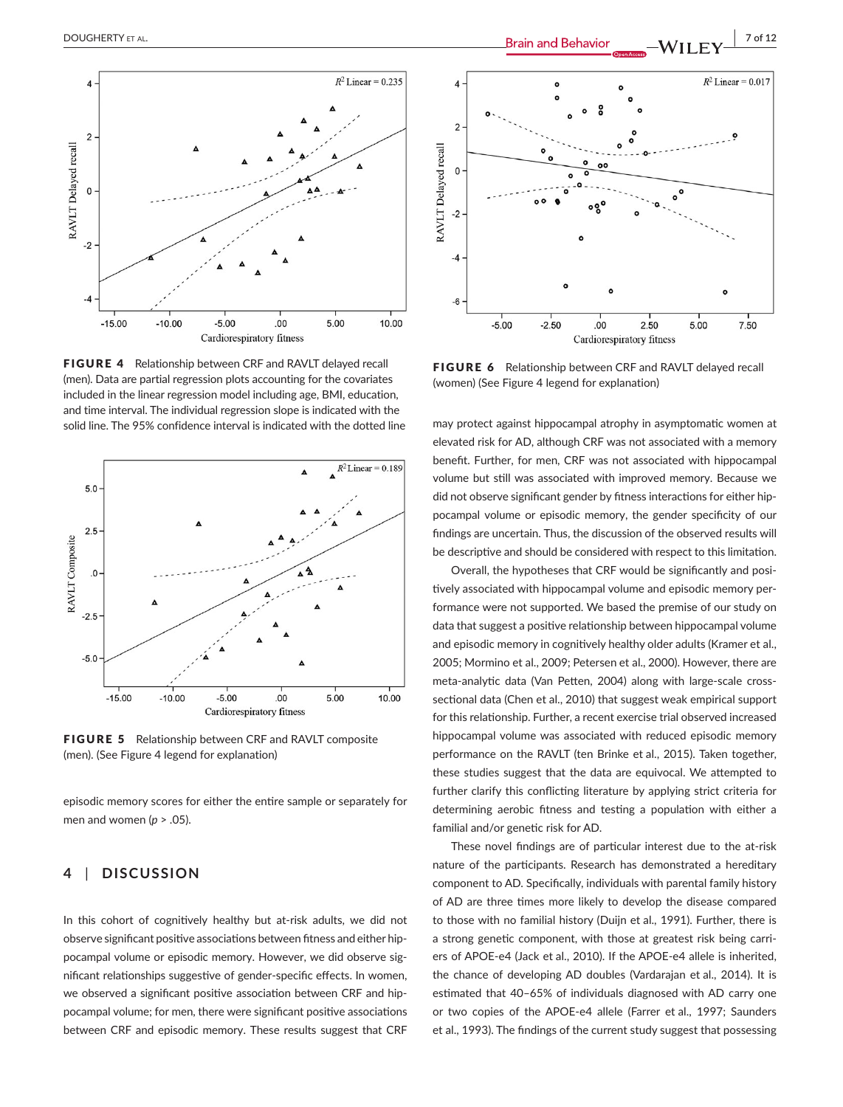

FIGURE 4 Relationship between CRF and RAVLT delayed recall (men). Data are partial regression plots accounting for the covariates included in the linear regression model including age, BMI, education, and time interval. The individual regression slope is indicated with the solid line. The 95% confidence interval is indicated with the dotted line



FIGURE 5 Relationship between CRF and RAVLT composite (men). (See Figure 4 legend for explanation)

episodic memory scores for either the entire sample or separately for men and women (*p* > .05).

# **4** | **DISCUSSION**

In this cohort of cognitively healthy but at-risk adults, we did not observe significant positive associations between fitness and either hippocampal volume or episodic memory. However, we did observe significant relationships suggestive of gender-specific effects. In women, we observed a significant positive association between CRF and hippocampal volume; for men, there were significant positive associations between CRF and episodic memory. These results suggest that CRF



FIGURE 6 Relationship between CRF and RAVLT delayed recall (women) (See Figure 4 legend for explanation)

may protect against hippocampal atrophy in asymptomatic women at elevated risk for AD, although CRF was not associated with a memory benefit. Further, for men, CRF was not associated with hippocampal volume but still was associated with improved memory. Because we did not observe significant gender by fitness interactions for either hippocampal volume or episodic memory, the gender specificity of our findings are uncertain. Thus, the discussion of the observed results will be descriptive and should be considered with respect to this limitation.

Overall, the hypotheses that CRF would be significantly and positively associated with hippocampal volume and episodic memory performance were not supported. We based the premise of our study on data that suggest a positive relationship between hippocampal volume and episodic memory in cognitively healthy older adults (Kramer et al., 2005; Mormino et al., 2009; Petersen et al., 2000). However, there are meta-analytic data (Van Petten, 2004) along with large-scale crosssectional data (Chen et al., 2010) that suggest weak empirical support for this relationship. Further, a recent exercise trial observed increased hippocampal volume was associated with reduced episodic memory performance on the RAVLT (ten Brinke et al., 2015). Taken together, these studies suggest that the data are equivocal. We attempted to further clarify this conflicting literature by applying strict criteria for determining aerobic fitness and testing a population with either a familial and/or genetic risk for AD.

These novel findings are of particular interest due to the at-risk nature of the participants. Research has demonstrated a hereditary component to AD. Specifically, individuals with parental family history of AD are three times more likely to develop the disease compared to those with no familial history (Duijn et al., 1991). Further, there is a strong genetic component, with those at greatest risk being carriers of APOE-e4 (Jack et al., 2010). If the APOE-e4 allele is inherited, the chance of developing AD doubles (Vardarajan et al., 2014). It is estimated that 40–65% of individuals diagnosed with AD carry one or two copies of the APOE-e4 allele (Farrer et al., 1997; Saunders et al., 1993). The findings of the current study suggest that possessing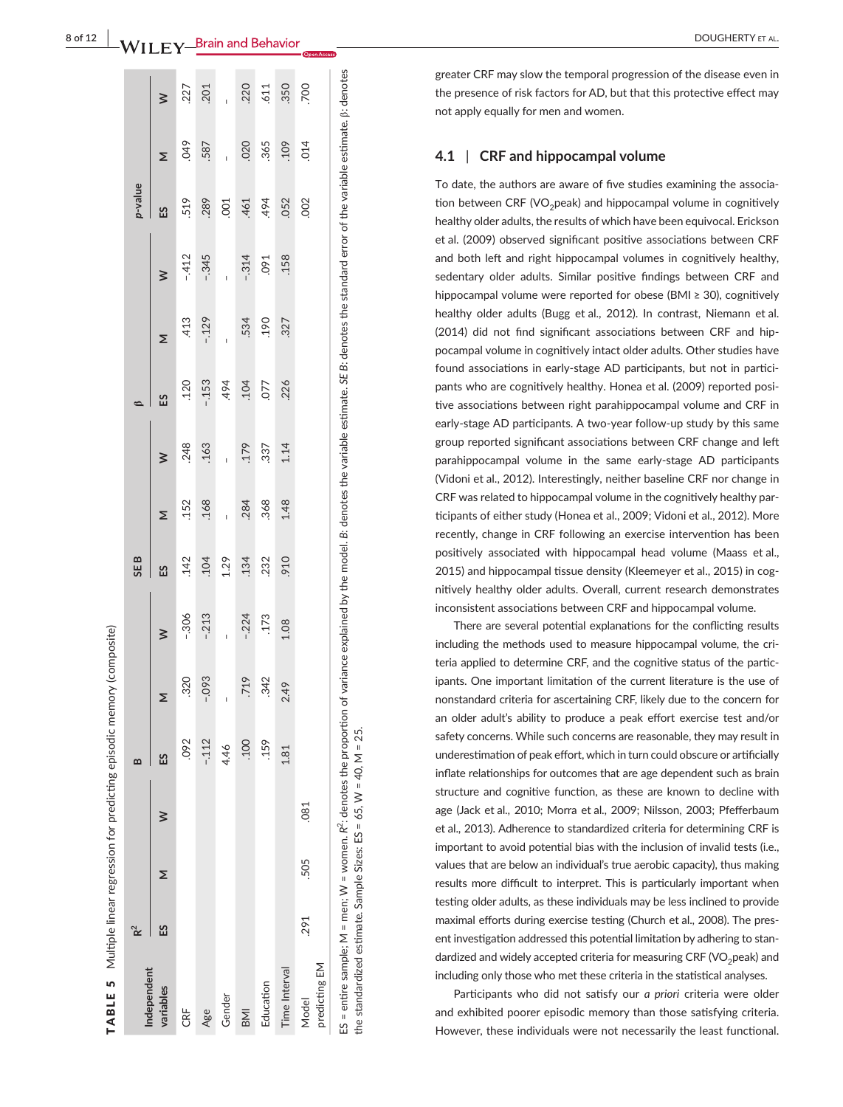| WILEY <sup>-Brain</sup> and Behavior                                  |                 |           |          |          |                |            |           |               |                                       | <b>DOUGHERTY ET AL</b>                                                                                                                                                                                                                                                                                                                                                                                   |
|-----------------------------------------------------------------------|-----------------|-----------|----------|----------|----------------|------------|-----------|---------------|---------------------------------------|----------------------------------------------------------------------------------------------------------------------------------------------------------------------------------------------------------------------------------------------------------------------------------------------------------------------------------------------------------------------------------------------------------|
|                                                                       |                 | $\geq$    | .227     | .201     |                | .220       | .611      | .350          | .700                                  | greater CRF may slow the temporal progression of the disease even in<br>the presence of risk factors for AD, but that this protective effect may<br>not apply equally for men and women.                                                                                                                                                                                                                 |
|                                                                       |                 | Σ         | 049      | .587     | $\overline{1}$ | .020       | .365      | .109          | 014                                   | <b>CRF and hippocampal volume</b><br>4.1                                                                                                                                                                                                                                                                                                                                                                 |
|                                                                       | p-value         | £S        | 519      | .289     | 001            | .461       | 494       | .052          | .002                                  | To date, the authors are aware of five studies examining the associa<br>tion between CRF (VO <sub>2</sub> peak) and hippocampal volume in cognitively<br>healthy older adults, the results of which have been equivocal. Ericksor                                                                                                                                                                        |
|                                                                       |                 | $\geq$    | $-.412$  | $-.345$  |                | $-.314$    | .091      | 158           |                                       | et al. (2009) observed significant positive associations between CRI<br>and both left and right hippocampal volumes in cognitively healthy<br>sedentary older adults. Similar positive findings between CRF and                                                                                                                                                                                          |
|                                                                       |                 | Σ         | .413     | $-129$   |                | .534       | .190      | .327          |                                       | B: denotes the standard error of the variable estimate. $\beta$ : denotes<br>hippocampal volume were reported for obese (BMI $\geq$ 30), cognitively<br>healthy older adults (Bugg et al., 2012). In contrast, Niemann et a<br>(2014) did not find significant associations between CRF and hip<br>pocampal volume in cognitively intact older adults. Other studies have                                |
|                                                                       | $\bullet$       | ES        | .120     | $-153$   | 494            | .104       | .077      | .226          |                                       | found associations in early-stage AD participants, but not in partici<br>pants who are cognitively healthy. Honea et al. (2009) reported posi<br>tive associations between right parahippocampal volume and CRF in                                                                                                                                                                                       |
|                                                                       |                 | $\geq$    | .248     | .163     |                | 179        | .337      | 1.14          |                                       | early-stage AD participants. A two-year follow-up study by this sam<br>group reported significant associations between CRF change and lef<br>parahippocampal volume in the same early-stage AD participant                                                                                                                                                                                               |
|                                                                       |                 | Σ         | .152     | .168     | $\overline{1}$ | .284       | .368      | 1.48          |                                       | ce explained by the model. B: denotes the variable estimate. SE<br>(Vidoni et al., 2012). Interestingly, neither baseline CRF nor change in<br>CRF was related to hippocampal volume in the cognitively healthy par<br>ticipants of either study (Honea et al., 2009; Vidoni et al., 2012). More<br>recently, change in CRF following an exercise intervention has been                                  |
|                                                                       | SE <sub>B</sub> | ΕS        | .142     | .104     | 1.29           | .134       | .232      | 910           |                                       | positively associated with hippocampal head volume (Maass et al<br>2015) and hippocampal tissue density (Kleemeyer et al., 2015) in cog<br>nitively healthy older adults. Overall, current research demonstrate                                                                                                                                                                                          |
|                                                                       |                 | $\geq$    | $-0.306$ | $-.213$  |                | $-.224$    | .173      | 1.08          |                                       | inconsistent associations between CRF and hippocampal volume.<br>There are several potential explanations for the conflicting result<br>including the methods used to measure hippocampal volume, the cri                                                                                                                                                                                                |
|                                                                       |                 | Σ         | .320     | $-0.093$ | $\mathsf I$    | .719       | .342      | 2.49          |                                       | teria applied to determine CRF, and the cognitive status of the partic<br>ipants. One important limitation of the current literature is the use o<br>nonstandard criteria for ascertaining CRF, likely due to the concern fo                                                                                                                                                                             |
| Multiple linear regression for predicting episodic memory (composite) | $\mathbf{r}$    | ΕS        | .092     | $-112$   | 4.46           | .100       | .159      | 1.81          |                                       | entire sample; $M$ = men; $W$ = women. $R^2$ : denotes the proportion of varian<br>an older adult's ability to produce a peak effort exercise test and/o<br>$= 25.$<br>safety concerns. While such concerns are reasonable, they may result in<br>underestimation of peak effort, which in turn could obscure or artificially<br>inflate relationships for outcomes that are age dependent such as brain |
|                                                                       |                 | ⋧         |          |          |                |            |           |               | .081                                  | structure and cognitive function, as these are known to decline with<br>age (Jack et al., 2010; Morra et al., 2009; Nilsson, 2003; Pfefferbaun<br>et al., 2013). Adherence to standardized criteria for determining CRF i                                                                                                                                                                                |
|                                                                       |                 | Σ         |          |          |                |            |           |               | 505                                   | important to avoid potential bias with the inclusion of invalid tests (i.e.<br>values that are below an individual's true aerobic capacity), thus making<br>results more difficult to interpret. This is particularly important when                                                                                                                                                                     |
|                                                                       | $\mathbf{R}^2$  | £S        |          |          |                |            |           |               | 291                                   | testing older adults, as these individuals may be less inclined to provide<br>maximal efforts during exercise testing (Church et al., 2008). The pres<br>ent investigation addressed this potential limitation by adhering to stan                                                                                                                                                                       |
| 5<br>ABLE                                                             | Independent     | variables | CRF      | Age      | Gender         | <b>BMI</b> | Education | Time Interval | E <sub>N</sub><br>predicting<br>Model | e standardized estimate. Sample Sizes: ES = 65, W = 40, M<br>dardized and widely accepted criteria for measuring CRF (VO <sub>2</sub> peak) and<br>including only those who met these criteria in the statistical analyses.<br>Participants who did not satisfy our a priori criteria were olde<br>and exhibited poorer episodic memory than those satisfying criteria<br>$\, \parallel$                 |

BMI

## **4.1**  | **CRF and hippocampal volume**

Participants who did not satisfy our *a priori* criteria were older and exhibited poorer episodic memory than those satisfying criteria. However, these individuals were not necessarily the least functional.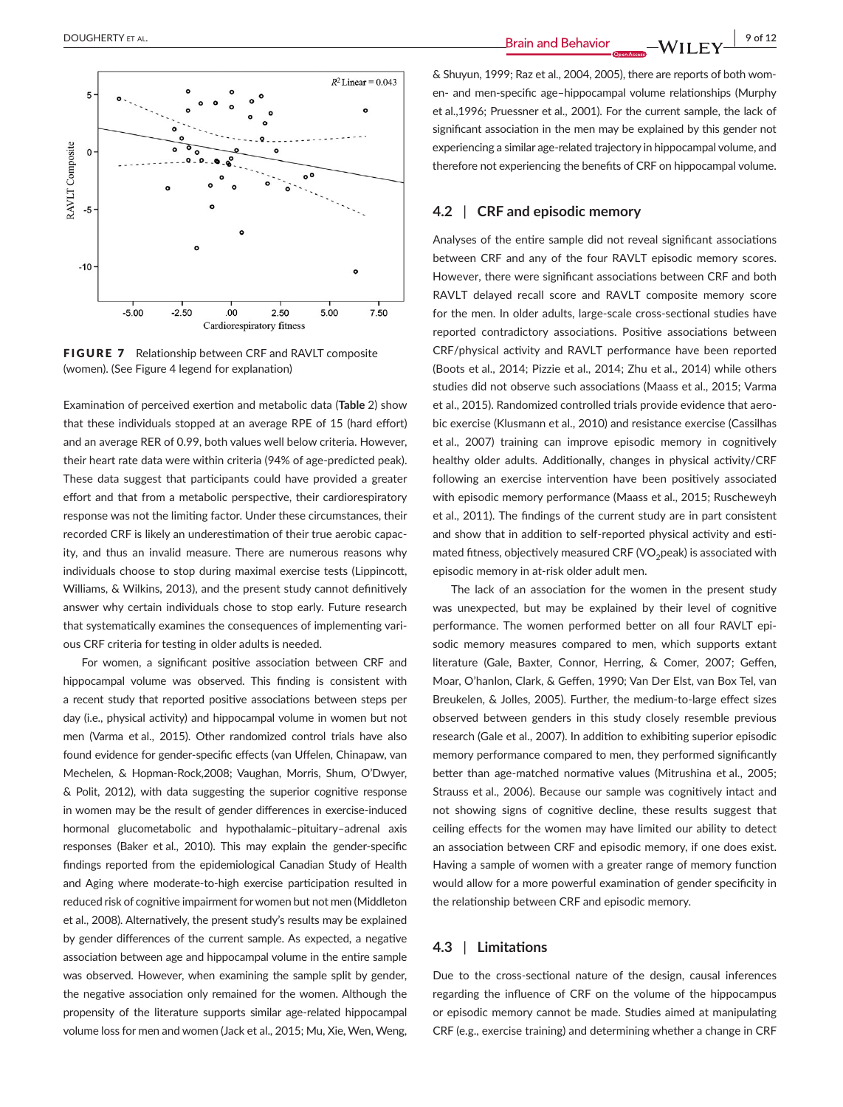

FIGURE 7 Relationship between CRF and RAVLT composite (women). (See Figure 4 legend for explanation)

Examination of perceived exertion and metabolic data (**Table** 2) show that these individuals stopped at an average RPE of 15 (hard effort) and an average RER of 0.99, both values well below criteria. However, their heart rate data were within criteria (94% of age-predicted peak). These data suggest that participants could have provided a greater effort and that from a metabolic perspective, their cardiorespiratory response was not the limiting factor. Under these circumstances, their recorded CRF is likely an underestimation of their true aerobic capacity, and thus an invalid measure. There are numerous reasons why individuals choose to stop during maximal exercise tests (Lippincott, Williams, & Wilkins, 2013), and the present study cannot definitively answer why certain individuals chose to stop early. Future research that systematically examines the consequences of implementing various CRF criteria for testing in older adults is needed.

For women, a significant positive association between CRF and hippocampal volume was observed. This finding is consistent with a recent study that reported positive associations between steps per day (i.e., physical activity) and hippocampal volume in women but not men (Varma et al., 2015). Other randomized control trials have also found evidence for gender-specific effects (van Uffelen, Chinapaw, van Mechelen, & Hopman-Rock,2008; Vaughan, Morris, Shum, O'Dwyer, & Polit, 2012), with data suggesting the superior cognitive response in women may be the result of gender differences in exercise-induced hormonal glucometabolic and hypothalamic–pituitary–adrenal axis responses (Baker et al., 2010). This may explain the gender-specific findings reported from the epidemiological Canadian Study of Health and Aging where moderate-to-high exercise participation resulted in reduced risk of cognitive impairment forwomen but not men (Middleton et al., 2008). Alternatively, the present study's results may be explained by gender differences of the current sample. As expected, a negative association between age and hippocampal volume in the entire sample was observed. However, when examining the sample split by gender, the negative association only remained for the women. Although the propensity of the literature supports similar age-related hippocampal volume loss for men and women (Jack et al., 2015; Mu, Xie, Wen, Weng, & Shuyun, 1999; Raz et al., 2004, 2005), there are reports of both women- and men-specific age–hippocampal volume relationships (Murphy et al.,1996; Pruessner et al., 2001). For the current sample, the lack of significant association in the men may be explained by this gender not experiencing a similar age-related trajectory in hippocampal volume, and therefore not experiencing the benefits of CRF on hippocampal volume.

## **4.2** | **CRF and episodic memory**

Analyses of the entire sample did not reveal significant associations between CRF and any of the four RAVLT episodic memory scores. However, there were significant associations between CRF and both RAVLT delayed recall score and RAVLT composite memory score for the men. In older adults, large-scale cross-sectional studies have reported contradictory associations. Positive associations between CRF/physical activity and RAVLT performance have been reported (Boots et al., 2014; Pizzie et al., 2014; Zhu et al., 2014) while others studies did not observe such associations (Maass et al., 2015; Varma et al., 2015). Randomized controlled trials provide evidence that aerobic exercise (Klusmann et al., 2010) and resistance exercise (Cassilhas et al., 2007) training can improve episodic memory in cognitively healthy older adults. Additionally, changes in physical activity/CRF following an exercise intervention have been positively associated with episodic memory performance (Maass et al., 2015; Ruscheweyh et al., 2011). The findings of the current study are in part consistent and show that in addition to self-reported physical activity and estimated fitness, objectively measured CRF (VO<sub>2</sub>peak) is associated with episodic memory in at-risk older adult men.

The lack of an association for the women in the present study was unexpected, but may be explained by their level of cognitive performance. The women performed better on all four RAVLT episodic memory measures compared to men, which supports extant literature (Gale, Baxter, Connor, Herring, & Comer, 2007; Geffen, Moar, O'hanlon, Clark, & Geffen, 1990; Van Der Elst, van Box Tel, van Breukelen, & Jolles, 2005). Further, the medium-to-large effect sizes observed between genders in this study closely resemble previous research (Gale et al., 2007). In addition to exhibiting superior episodic memory performance compared to men, they performed significantly better than age-matched normative values (Mitrushina et al., 2005; Strauss et al., 2006). Because our sample was cognitively intact and not showing signs of cognitive decline, these results suggest that ceiling effects for the women may have limited our ability to detect an association between CRF and episodic memory, if one does exist. Having a sample of women with a greater range of memory function would allow for a more powerful examination of gender specificity in the relationship between CRF and episodic memory.

#### **4.3** | **Limitations**

Due to the cross-sectional nature of the design, causal inferences regarding the influence of CRF on the volume of the hippocampus or episodic memory cannot be made. Studies aimed at manipulating CRF (e.g., exercise training) and determining whether a change in CRF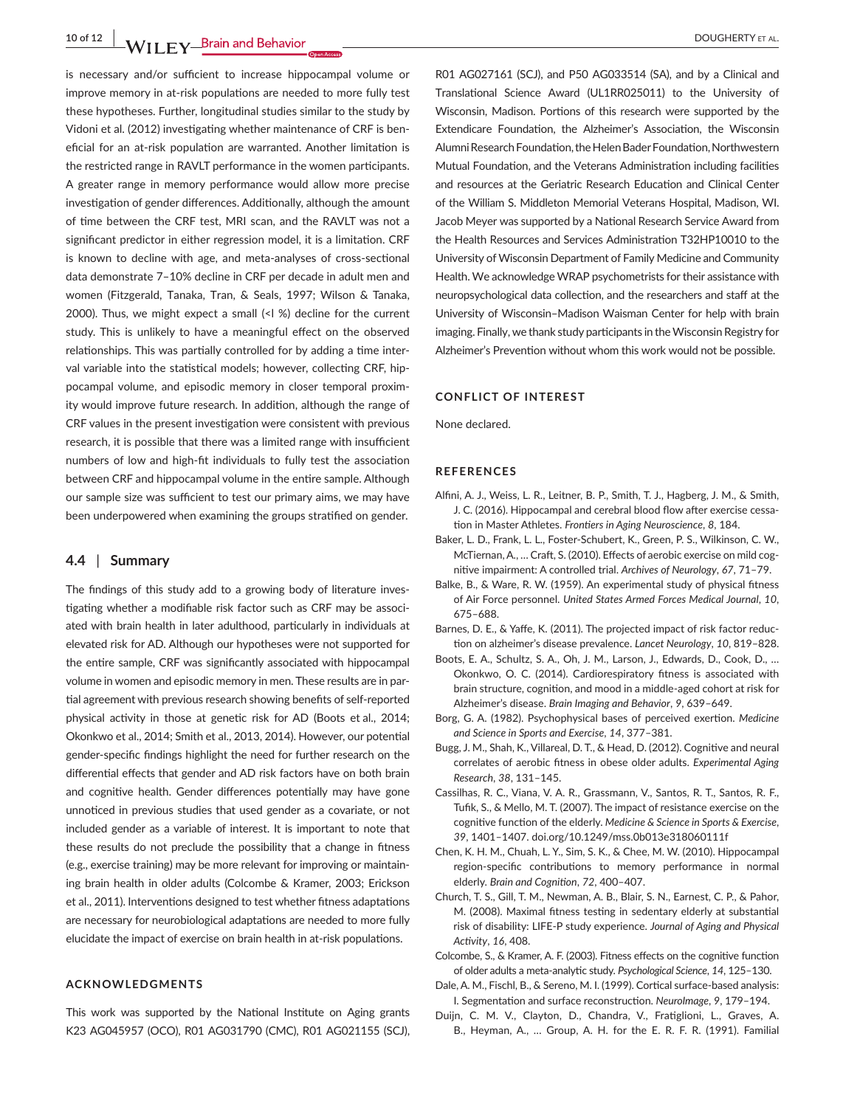**10 of 12 |**  DOUGHERTY et al.

is necessary and/or sufficient to increase hippocampal volume or improve memory in at-risk populations are needed to more fully test these hypotheses. Further, longitudinal studies similar to the study by Vidoni et al. (2012) investigating whether maintenance of CRF is beneficial for an at-risk population are warranted. Another limitation is the restricted range in RAVLT performance in the women participants. A greater range in memory performance would allow more precise investigation of gender differences. Additionally, although the amount of time between the CRF test, MRI scan, and the RAVLT was not a significant predictor in either regression model, it is a limitation. CRF is known to decline with age, and meta-analyses of cross-sectional data demonstrate 7–10% decline in CRF per decade in adult men and women (Fitzgerald, Tanaka, Tran, & Seals, 1997; Wilson & Tanaka, 2000). Thus, we might expect a small (<l %) decline for the current study. This is unlikely to have a meaningful effect on the observed relationships. This was partially controlled for by adding a time interval variable into the statistical models; however, collecting CRF, hippocampal volume, and episodic memory in closer temporal proximity would improve future research. In addition, although the range of CRF values in the present investigation were consistent with previous research, it is possible that there was a limited range with insufficient numbers of low and high-fit individuals to fully test the association between CRF and hippocampal volume in the entire sample. Although our sample size was sufficient to test our primary aims, we may have been underpowered when examining the groups stratified on gender.

## **4.4** | **Summary**

The findings of this study add to a growing body of literature investigating whether a modifiable risk factor such as CRF may be associated with brain health in later adulthood, particularly in individuals at elevated risk for AD. Although our hypotheses were not supported for the entire sample, CRF was significantly associated with hippocampal volume in women and episodic memory in men. These results are in partial agreement with previous research showing benefits of self-reported physical activity in those at genetic risk for AD (Boots et al., 2014; Okonkwo et al., 2014; Smith et al., 2013, 2014). However, our potential gender-specific findings highlight the need for further research on the differential effects that gender and AD risk factors have on both brain and cognitive health. Gender differences potentially may have gone unnoticed in previous studies that used gender as a covariate, or not included gender as a variable of interest. It is important to note that these results do not preclude the possibility that a change in fitness (e.g., exercise training) may be more relevant for improving or maintaining brain health in older adults (Colcombe & Kramer, 2003; Erickson et al., 2011). Interventions designed to test whether fitness adaptations are necessary for neurobiological adaptations are needed to more fully elucidate the impact of exercise on brain health in at-risk populations.

## **ACKNOWLEDGMENTS**

This work was supported by the National Institute on Aging grants K23 AG045957 (OCO), R01 AG031790 (CMC), R01 AG021155 (SCJ), R01 AG027161 (SCJ), and P50 AG033514 (SA), and by a Clinical and Translational Science Award (UL1RR025011) to the University of Wisconsin, Madison. Portions of this research were supported by the Extendicare Foundation, the Alzheimer's Association, the Wisconsin Alumni Research Foundation, the Helen Bader Foundation, Northwestern Mutual Foundation, and the Veterans Administration including facilities and resources at the Geriatric Research Education and Clinical Center of the William S. Middleton Memorial Veterans Hospital, Madison, WI. Jacob Meyer was supported by a National Research Service Award from the Health Resources and Services Administration T32HP10010 to the University of Wisconsin Department of Family Medicine and Community Health. We acknowledge WRAP psychometrists for their assistance with neuropsychological data collection, and the researchers and staff at the University of Wisconsin–Madison Waisman Center for help with brain imaging. Finally, we thank study participants in theWisconsin Registry for Alzheimer's Prevention without whom this work would not be possible.

#### **CONFLICT OF INTEREST**

None declared.

#### **REFERENCES**

- Alfini, A. J., Weiss, L. R., Leitner, B. P., Smith, T. J., Hagberg, J. M., & Smith, J. C. (2016). Hippocampal and cerebral blood flow after exercise cessation in Master Athletes. *Frontiers in Aging Neuroscience*, *8*, 184.
- Baker, L. D., Frank, L. L., Foster-Schubert, K., Green, P. S., Wilkinson, C. W., McTiernan,A., … Craft, S. (2010). Effects of aerobic exercise on mild cognitive impairment: A controlled trial. *Archives of Neurology*, *67*, 71–79.
- Balke, B., & Ware, R. W. (1959). An experimental study of physical fitness of Air Force personnel. *United States Armed Forces Medical Journal*, *10*, 675–688.
- Barnes, D. E., & Yaffe, K. (2011). The projected impact of risk factor reduction on alzheimer's disease prevalence. *Lancet Neurology*, *10*, 819–828.
- Boots, E. A., Schultz, S. A., Oh, J. M., Larson, J., Edwards, D., Cook, D., … Okonkwo, O. C. (2014). Cardiorespiratory fitness is associated with brain structure, cognition, and mood in a middle-aged cohort at risk for Alzheimer's disease. *Brain Imaging and Behavior*, *9*, 639–649.
- Borg, G. A. (1982). Psychophysical bases of perceived exertion. *Medicine and Science in Sports and Exercise*, *14*, 377–381.
- Bugg, J. M., Shah, K., Villareal, D. T., & Head, D. (2012). Cognitive and neural correlates of aerobic fitness in obese older adults. *Experimental Aging Research*, *38*, 131–145.
- Cassilhas, R. C., Viana, V. A. R., Grassmann, V., Santos, R. T., Santos, R. F., Tufik, S., & Mello, M. T. (2007). The impact of resistance exercise on the cognitive function of the elderly. *Medicine & Science in Sports & Exercise*, *39*, 1401–1407. doi.org/[10.1249/mss.0b013e318060111f](https://doi.org/10.1249/mss.0b013e318060111f)
- Chen, K. H. M., Chuah, L. Y., Sim, S. K., & Chee, M. W. (2010). Hippocampal region-specific contributions to memory performance in normal elderly. *Brain and Cognition*, *72*, 400–407.
- Church, T. S., Gill, T. M., Newman, A. B., Blair, S. N., Earnest, C. P., & Pahor, M. (2008). Maximal fitness testing in sedentary elderly at substantial risk of disability: LIFE-P study experience. *Journal of Aging and Physical Activity*, *16*, 408.
- Colcombe, S., & Kramer, A. F. (2003). Fitness effects on the cognitive function of older adults a meta-analytic study. *Psychological Science*, *14*, 125–130.
- Dale,A. M., Fischl, B., & Sereno, M. I. (1999). Cortical surface-based analysis: I. Segmentation and surface reconstruction. *NeuroImage*, *9*, 179–194.
- Duijn, C. M. V., Clayton, D., Chandra, V., Fratiglioni, L., Graves, A. B., Heyman, A., … Group, A. H. for the E. R. F. R. (1991). Familial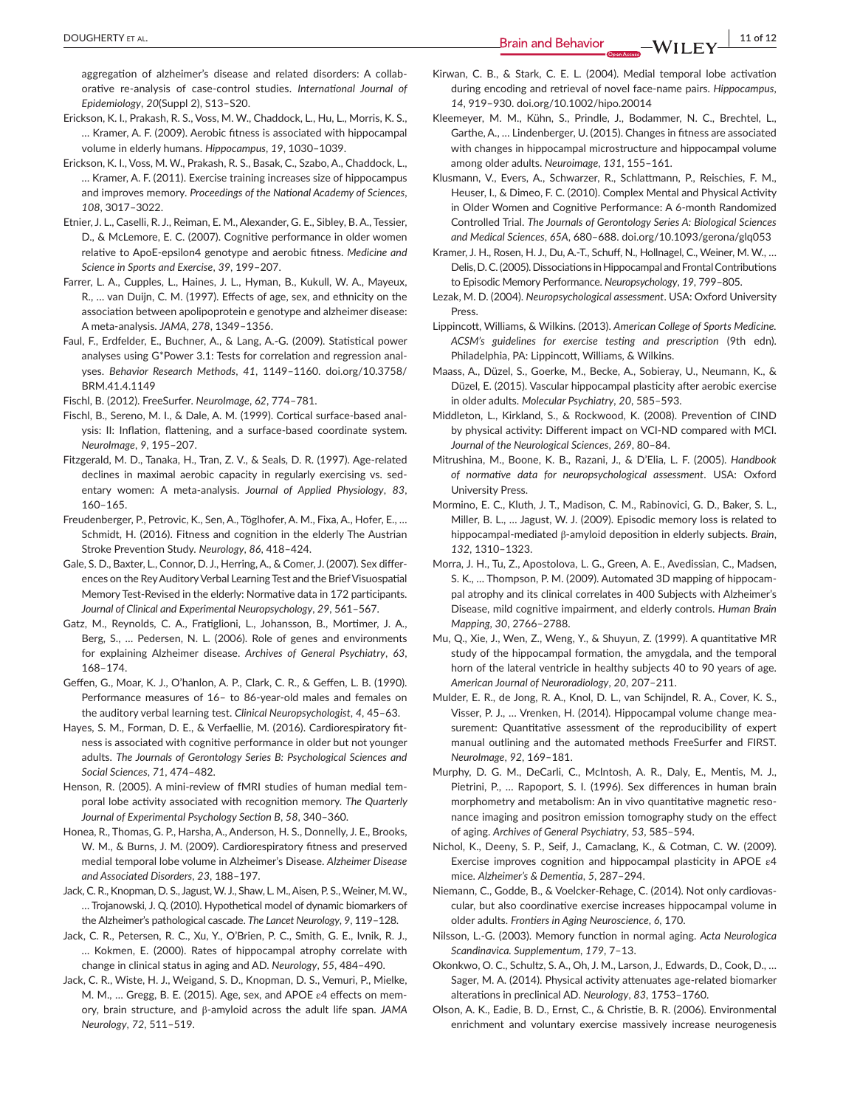aggregation of alzheimer's disease and related disorders: A collaborative re-analysis of case-control studies. *International Journal of Epidemiology*, *20*(Suppl 2), S13–S20.

- Erickson, K. I., Prakash, R. S., Voss, M. W., Chaddock, L., Hu, L., Morris, K. S., … Kramer, A. F. (2009). Aerobic fitness is associated with hippocampal volume in elderly humans. *Hippocampus*, *19*, 1030–1039.
- Erickson, K. I., Voss, M. W., Prakash, R. S., Basak, C., Szabo, A., Chaddock, L., … Kramer, A. F. (2011). Exercise training increases size of hippocampus and improves memory. *Proceedings of the National Academy of Sciences*, *108*, 3017–3022.
- Etnier, J. L., Caselli, R. J., Reiman, E. M.,Alexander, G. E., Sibley, B.A., Tessier, D., & McLemore, E. C. (2007). Cognitive performance in older women relative to ApoE-epsilon4 genotype and aerobic fitness. *Medicine and Science in Sports and Exercise*, *39*, 199–207.
- Farrer, L. A., Cupples, L., Haines, J. L., Hyman, B., Kukull, W. A., Mayeux, R., … van Duijn, C. M. (1997). Effects of age, sex, and ethnicity on the association between apolipoprotein e genotype and alzheimer disease: A meta-analysis. *JAMA*, *278*, 1349–1356.
- Faul, F., Erdfelder, E., Buchner, A., & Lang, A.-G. (2009). Statistical power analyses using G\*Power 3.1: Tests for correlation and regression analyses. *Behavior Research Methods*, *41*, 1149–1160. doi.org[/10.3758/](https://doi.org/10.3758/BRM.41.4.1149) [BRM.41.4.1149](https://doi.org/10.3758/BRM.41.4.1149)
- Fischl, B. (2012). FreeSurfer. *NeuroImage*, *62*, 774–781.
- Fischl, B., Sereno, M. I., & Dale, A. M. (1999). Cortical surface-based analysis: II: Inflation, flattening, and a surface-based coordinate system. *NeuroImage*, *9*, 195–207.
- Fitzgerald, M. D., Tanaka, H., Tran, Z. V., & Seals, D. R. (1997). Age-related declines in maximal aerobic capacity in regularly exercising vs. sedentary women: A meta-analysis. *Journal of Applied Physiology*, *83*, 160–165.
- Freudenberger, P., Petrovic, K., Sen, A., Töglhofer, A. M., Fixa, A., Hofer, E., … Schmidt, H. (2016). Fitness and cognition in the elderly The Austrian Stroke Prevention Study. *Neurology*, *86*, 418–424.
- Gale, S. D., Baxter, L., Connor, D. J., Herring,A., & Comer, J. (2007). Sex differences on the Rey Auditory Verbal Learning Test and the Brief Visuospatial Memory Test-Revised in the elderly: Normative data in 172 participants. *Journal of Clinical and Experimental Neuropsychology*, *29*, 561–567.
- Gatz, M., Reynolds, C. A., Fratiglioni, L., Johansson, B., Mortimer, J. A., Berg, S., … Pedersen, N. L. (2006). Role of genes and environments for explaining Alzheimer disease. *Archives of General Psychiatry*, *63*, 168–174.
- Geffen, G., Moar, K. J., O'hanlon, A. P., Clark, C. R., & Geffen, L. B. (1990). Performance measures of 16– to 86-year-old males and females on the auditory verbal learning test. *Clinical Neuropsychologist*, *4*, 45–63.
- Hayes, S. M., Forman, D. E., & Verfaellie, M. (2016). Cardiorespiratory fitness is associated with cognitive performance in older but not younger adults. *The Journals of Gerontology Series B: Psychological Sciences and Social Sciences*, *71*, 474–482.
- Henson, R. (2005). A mini-review of fMRI studies of human medial temporal lobe activity associated with recognition memory. *The Quarterly Journal of Experimental Psychology Section B*, *58*, 340–360.
- Honea, R., Thomas, G. P., Harsha, A., Anderson, H. S., Donnelly, J. E., Brooks, W. M., & Burns, J. M. (2009). Cardiorespiratory fitness and preserved medial temporal lobe volume in Alzheimer's Disease. *Alzheimer Disease and Associated Disorders*, *23*, 188–197.
- Jack, C. R., Knopman, D. S., Jagust, W. J., Shaw, L. M., Aisen, P. S., Weiner, M. W., … Trojanowski, J. Q. (2010). Hypothetical model of dynamic biomarkers of the Alzheimer's pathological cascade. *The Lancet Neurology*, *9*, 119–128.
- Jack, C. R., Petersen, R. C., Xu, Y., O'Brien, P. C., Smith, G. E., Ivnik, R. J., … Kokmen, E. (2000). Rates of hippocampal atrophy correlate with change in clinical status in aging and AD. *Neurology*, *55*, 484–490.
- Jack, C. R., Wiste, H. J., Weigand, S. D., Knopman, D. S., Vemuri, P., Mielke, M. M., … Gregg, B. E. (2015). Age, sex, and APOE ε4 effects on memory, brain structure, and β-amyloid across the adult life span. *JAMA Neurology*, *72*, 511–519.
- Kirwan, C. B., & Stark, C. E. L. (2004). Medial temporal lobe activation during encoding and retrieval of novel face-name pairs. *Hippocampus*, *14*, 919–930. doi.org[/10.1002/hipo.20014](https://doi.org/10.1002/hipo.20014)
- Kleemeyer, M. M., Kühn, S., Prindle, J., Bodammer, N. C., Brechtel, L., Garthe, A., … Lindenberger, U. (2015). Changes in fitness are associated with changes in hippocampal microstructure and hippocampal volume among older adults. *Neuroimage*, *131*, 155–161.
- Klusmann, V., Evers, A., Schwarzer, R., Schlattmann, P., Reischies, F. M., Heuser, I., & Dimeo, F. C. (2010). Complex Mental and Physical Activity in Older Women and Cognitive Performance: A 6-month Randomized Controlled Trial. *The Journals of Gerontology Series A: Biological Sciences and Medical Sciences*, *65A*, 680–688. [doi.org/10.1093/gerona/glq053](http://doi.org/10.1093/gerona/glq053)
- Kramer, J. H., Rosen, H. J., Du, A.-T., Schuff, N., Hollnagel, C., Weiner, M. W., … Delis, D.C. (2005). Dissociations in Hippocampal and Frontal Contributions to Episodic Memory Performance. *Neuropsychology*, *19*, 799–805.
- Lezak, M. D. (2004). *Neuropsychological assessment*. USA: Oxford University Press.
- Lippincott, Williams, & Wilkins. (2013). *American College of Sports Medicine. ACSM's guidelines for exercise testing and prescription* (9th edn). Philadelphia, PA: Lippincott, Williams, & Wilkins.
- Maass, A., Düzel, S., Goerke, M., Becke, A., Sobieray, U., Neumann, K., & Düzel, E. (2015). Vascular hippocampal plasticity after aerobic exercise in older adults. *Molecular Psychiatry*, *20*, 585–593.
- Middleton, L., Kirkland, S., & Rockwood, K. (2008). Prevention of CIND by physical activity: Different impact on VCI-ND compared with MCI. *Journal of the Neurological Sciences*, *269*, 80–84.
- Mitrushina, M., Boone, K. B., Razani, J., & D'Elia, L. F. (2005). *Handbook of normative data for neuropsychological assessment*. USA: Oxford University Press.
- Mormino, E. C., Kluth, J. T., Madison, C. M., Rabinovici, G. D., Baker, S. L., Miller, B. L., … Jagust, W. J. (2009). Episodic memory loss is related to hippocampal-mediated β-amyloid deposition in elderly subjects. *Brain*, *132*, 1310–1323.
- Morra, J. H., Tu, Z., Apostolova, L. G., Green, A. E., Avedissian, C., Madsen, S. K., … Thompson, P. M. (2009). Automated 3D mapping of hippocampal atrophy and its clinical correlates in 400 Subjects with Alzheimer's Disease, mild cognitive impairment, and elderly controls. *Human Brain Mapping*, *30*, 2766–2788.
- Mu, Q., Xie, J., Wen, Z., Weng, Y., & Shuyun, Z. (1999). A quantitative MR study of the hippocampal formation, the amygdala, and the temporal horn of the lateral ventricle in healthy subjects 40 to 90 years of age. *American Journal of Neuroradiology*, *20*, 207–211.
- Mulder, E. R., de Jong, R. A., Knol, D. L., van Schijndel, R. A., Cover, K. S., Visser, P. J., … Vrenken, H. (2014). Hippocampal volume change measurement: Quantitative assessment of the reproducibility of expert manual outlining and the automated methods FreeSurfer and FIRST. *NeuroImage*, *92*, 169–181.
- Murphy, D. G. M., DeCarli, C., McIntosh, A. R., Daly, E., Mentis, M. J., Pietrini, P., … Rapoport, S. I. (1996). Sex differences in human brain morphometry and metabolism: An in vivo quantitative magnetic resonance imaging and positron emission tomography study on the effect of aging. *Archives of General Psychiatry*, *53*, 585–594.
- Nichol, K., Deeny, S. P., Seif, J., Camaclang, K., & Cotman, C. W. (2009). Exercise improves cognition and hippocampal plasticity in APOE ε4 mice. *Alzheimer's & Dementia*, *5*, 287–294.
- Niemann, C., Godde, B., & Voelcker-Rehage, C. (2014). Not only cardiovascular, but also coordinative exercise increases hippocampal volume in older adults. *Frontiers in Aging Neuroscience*, *6*, 170.
- Nilsson, L.-G. (2003). Memory function in normal aging. *Acta Neurologica Scandinavica. Supplementum*, *179*, 7–13.
- Okonkwo, O. C., Schultz, S. A., Oh, J. M., Larson, J., Edwards, D., Cook, D., … Sager, M. A. (2014). Physical activity attenuates age-related biomarker alterations in preclinical AD. *Neurology*, *83*, 1753–1760.
- Olson, A. K., Eadie, B. D., Ernst, C., & Christie, B. R. (2006). Environmental enrichment and voluntary exercise massively increase neurogenesis